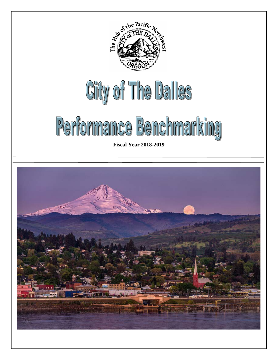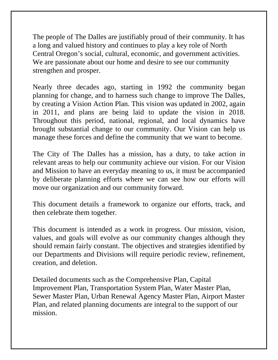The people of The Dalles are justifiably proud of their community. It has a long and valued history and continues to play a key role of North Central Oregon's social, cultural, economic, and government activities. We are passionate about our home and desire to see our community strengthen and prosper.

Nearly three decades ago, starting in 1992 the community began planning for change, and to harness such change to improve The Dalles, by creating a Vision Action Plan. This vision was updated in 2002, again in 2011, and plans are being laid to update the vision in 2018. Throughout this period, national, regional, and local dynamics have brought substantial change to our community. Our Vision can help us manage these forces and define the community that we want to become.

The City of The Dalles has a mission, has a duty, to take action in relevant areas to help our community achieve our vision. For our Vision and Mission to have an everyday meaning to us, it must be accompanied by deliberate planning efforts where we can see how our efforts will move our organization and our community forward.

This document details a framework to organize our efforts, track, and then celebrate them together.

This document is intended as a work in progress. Our mission, vision, values, and goals will evolve as our community changes although they should remain fairly constant. The objectives and strategies identified by our Departments and Divisions will require periodic review, refinement, creation, and deletion.

Detailed documents such as the Comprehensive Plan, Capital Improvement Plan, Transportation System Plan, Water Master Plan, Sewer Master Plan, Urban Renewal Agency Master Plan, Airport Master Plan, and related planning documents are integral to the support of our mission.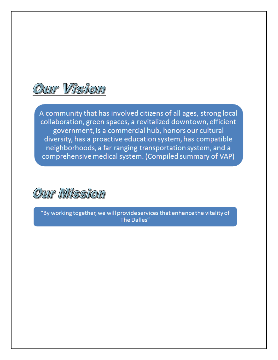

A community that has involved citizens of all ages, strong local collaboration, green spaces, a revitalized downtown, efficient government, is a commercial hub, honors our cultural diversity, has a proactive education system, has compatible neighborhoods, a far ranging transportation system, and a comprehensive medical system. (Compiled summary of VAP)



"By working together, we will provide services that enhance the vitality of The Dalles"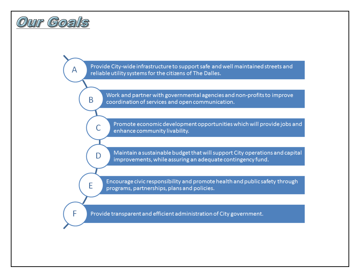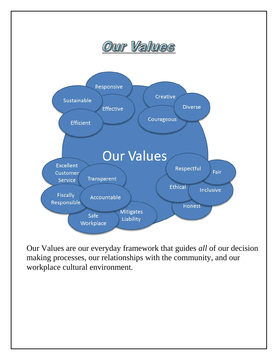

Our Values are our everyday framework that guides *all* of our decision making processes, our relationships with the community, and our workplace cultural environment.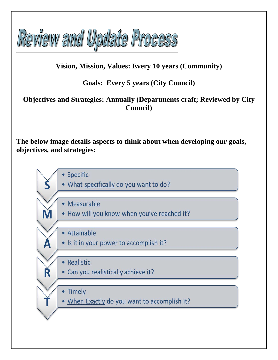

## **Vision, Mission, Values: Every 10 years (Community)**

## **Goals: Every 5 years (City Council)**

## **Objectives and Strategies: Annually (Departments craft; Reviewed by City Council)**

**The below image details aspects to think about when developing our goals, objectives, and strategies:**

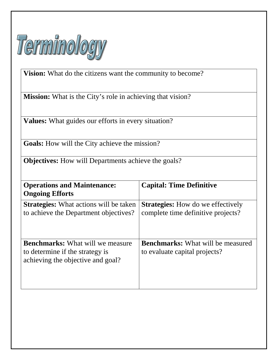

**Vision:** What do the citizens want the community to become?

**Mission:** What is the City's role in achieving that vision?

**Values:** What guides our efforts in every situation?

**Goals:** How will the City achieve the mission?

**Objectives:** How will Departments achieve the goals?

| <b>Operations and Maintenance:</b><br><b>Ongoing Efforts</b>                                                    | <b>Capital: Time Definitive</b>                                                |
|-----------------------------------------------------------------------------------------------------------------|--------------------------------------------------------------------------------|
| <b>Strategies:</b> What actions will be taken<br>to achieve the Department objectives?                          | <b>Strategies:</b> How do we effectively<br>complete time definitive projects? |
| <b>Benchmarks:</b> What will we measure<br>to determine if the strategy is<br>achieving the objective and goal? | <b>Benchmarks:</b> What will be measured<br>to evaluate capital projects?      |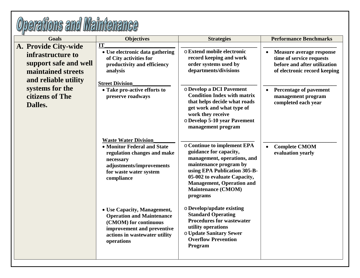| <b>Goals</b>                                                                                                     | <b>Objectives</b>                                                                                                                                                          | <b>Strategies</b>                                                                                                                                                                                                                                           | <b>Performance Benchmarks</b>                                                                                               |
|------------------------------------------------------------------------------------------------------------------|----------------------------------------------------------------------------------------------------------------------------------------------------------------------------|-------------------------------------------------------------------------------------------------------------------------------------------------------------------------------------------------------------------------------------------------------------|-----------------------------------------------------------------------------------------------------------------------------|
| A. Provide City-wide<br>infrastructure to<br>support safe and well<br>maintained streets<br>and reliable utility | IT<br>• Use electronic data gathering<br>of City activities for<br>productivity and efficiency<br>analysis                                                                 | o Extend mobile electronic<br>record keeping and work<br>order systems used by<br>departments/divisions                                                                                                                                                     | <b>Measure average response</b><br>time of service requests<br>before and after utilization<br>of electronic record keeping |
| systems for the<br>citizens of The<br>Dalles.                                                                    | <b>Street Division</b><br>• Take pro-active efforts to<br>preserve roadways                                                                                                | o Develop a DCI Pavement<br><b>Condition Index with matrix</b><br>that helps decide what roads<br>get work and what type of<br>work they receive<br>o Develop 5-10 year Pavement<br>management program                                                      | Percentage of pavement<br>management program<br>completed each year                                                         |
|                                                                                                                  | <b>Waste Water Division</b><br>• Monitor Federal and State<br>regulation changes and make<br>necessary<br>adjustments/improvements<br>for waste water system<br>compliance | o Continue to implement EPA<br>guidance for capacity,<br>management, operations, and<br>maintenance program by<br>using EPA Publication 305-B-<br>05-002 to evaluate Capacity,<br><b>Management, Operation and</b><br><b>Maintenance (CMOM)</b><br>programs | <b>Complete CMOM</b><br>evaluation yearly                                                                                   |
|                                                                                                                  | • Use Capacity, Management,<br><b>Operation and Maintenance</b><br>(CMOM) for continuous<br>improvement and preventive<br>actions in wastewater utility<br>operations      | o Develop/update existing<br><b>Standard Operating</b><br><b>Procedures for wastewater</b><br>utility operations<br>o Update Sanitary Sewer<br><b>Overflow Prevention</b><br>Program                                                                        |                                                                                                                             |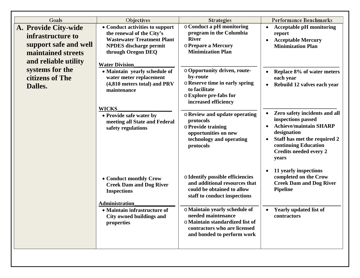| Goals                                                                                                            | Objectives                                                                                                                                                                        | <b>Strategies</b>                                                                                                                                    | <b>Performance Benchmarks</b>                                                                                                                                                                         |
|------------------------------------------------------------------------------------------------------------------|-----------------------------------------------------------------------------------------------------------------------------------------------------------------------------------|------------------------------------------------------------------------------------------------------------------------------------------------------|-------------------------------------------------------------------------------------------------------------------------------------------------------------------------------------------------------|
| A. Provide City-wide<br>infrastructure to<br>support safe and well<br>maintained streets<br>and reliable utility | • Conduct activities to support<br>the renewal of the City's<br><b>Wastewater Treatment Plant</b><br><b>NPDES</b> discharge permit<br>through Oregon DEQ<br><b>Water Division</b> | o Conduct a pH monitoring<br>program in the Columbia<br><b>River</b><br>o Prepare a Mercury<br><b>Minimization Plan</b>                              | <b>Acceptable pH</b> monitoring<br>report<br><b>Acceptable Mercury</b><br><b>Minimization Plan</b>                                                                                                    |
| systems for the<br>citizens of The<br>Dalles.                                                                    | • Maintain yearly schedule of<br>water meter replacement<br>(4,810 meters total) and PRV<br>maintenance                                                                           | o Opportunity driven, route-<br>by-route<br><b>O Reserve time in early spring</b><br>to facilitate<br>o Explore pre-fabs for<br>increased efficiency | Replace 8% of water meters<br>each year<br>Rebuild 12 valves each year<br>$\bullet$                                                                                                                   |
|                                                                                                                  | <b>WICKS</b><br>• Provide safe water by<br>meeting all State and Federal<br>safety regulations                                                                                    | o Review and update operating<br>protocols<br>o Provide training<br>opportunities on new<br>technology and operating<br>protocols                    | Zero safety incidents and all<br>inspections passed<br><b>Achieve/maintain SHARP</b><br>designation<br>Staff has met the required 2<br>continuing Education<br><b>Credits needed every 2</b><br>years |
|                                                                                                                  | • Conduct monthly Crow<br><b>Creek Dam and Dog River</b><br><b>Inspections</b><br><b>Administration</b>                                                                           | <b>o</b> Identify possible efficiencies<br>and additional resources that<br>could be obtained to allow<br>staff to conduct inspections               | 11 yearly inspections<br>completed on the Crow<br><b>Creek Dam and Dog River</b><br><b>Pipeline</b>                                                                                                   |
|                                                                                                                  | • Maintain infrastructure of<br>City owned buildings and<br>properties                                                                                                            | o Maintain yearly schedule of<br>needed maintenance<br>o Maintain standardized list of<br>contractors who are licensed<br>and bonded to perform work | <b>Yearly updated list of</b><br>contractors                                                                                                                                                          |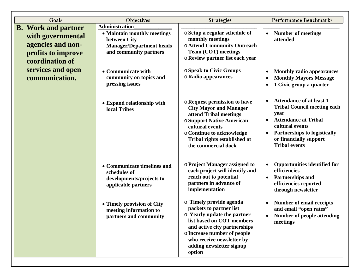| Goals                                                                           | Objectives                                                                                                                                                                       | <b>Strategies</b>                                                                                                                                                                                                                                                                                    | <b>Performance Benchmarks</b>                                                                                                                                                                                                                            |
|---------------------------------------------------------------------------------|----------------------------------------------------------------------------------------------------------------------------------------------------------------------------------|------------------------------------------------------------------------------------------------------------------------------------------------------------------------------------------------------------------------------------------------------------------------------------------------------|----------------------------------------------------------------------------------------------------------------------------------------------------------------------------------------------------------------------------------------------------------|
| <b>B.</b> Work and partner                                                      | <b>Administration</b>                                                                                                                                                            |                                                                                                                                                                                                                                                                                                      |                                                                                                                                                                                                                                                          |
| with governmental<br>agencies and non-<br>profits to improve<br>coordination of | • Maintain monthly meetings<br>between City<br><b>Manager/Department heads</b><br>and community partners                                                                         | o Setup a regular schedule of<br>monthly meetings<br>o Attend Community Outreach<br>Team (COT) meetings<br>o Review partner list each year                                                                                                                                                           | <b>Number of meetings</b><br>$\bullet$<br>attended                                                                                                                                                                                                       |
| services and open<br>communication.                                             | • Communicate with<br>community on topics and<br>pressing issues                                                                                                                 | <b>O Speak to Civic Groups</b><br>o Radio appearances                                                                                                                                                                                                                                                | <b>Monthly radio appearances</b><br><b>Monthly Mayors Message</b><br>1 Civic group a quarter                                                                                                                                                             |
|                                                                                 | • Expand relationship with<br>local Tribes                                                                                                                                       | <b>o</b> Request permission to have<br><b>City Mayor and Manager</b><br>attend Tribal meetings<br><b>O Support Native American</b><br>cultural events<br>o Continue to acknowledge<br>Tribal rights established at<br>the commercial dock                                                            | <b>Attendance of at least 1</b><br><b>Tribal Council meeting each</b><br>year<br><b>Attendance at Tribal</b><br>cultural events<br><b>Partnerships to logistically</b><br>or financially support<br><b>Tribal events</b>                                 |
|                                                                                 | • Communicate timelines and<br>schedules of<br>developments/projects to<br>applicable partners<br>• Timely provision of City<br>meeting information to<br>partners and community | <b>o Project Manager assigned to</b><br>each project will identify and<br>reach out to potential<br>partners in advance of<br>implementation<br>o Timely provide agenda<br>packets to partner list<br>$\circ$ Yearly update the partner<br>list based on COT members<br>and active city partnerships | <b>Opportunities identified for</b><br>efficiencies<br><b>Partnerships and</b><br>$\bullet$<br>efficiencies reported<br>through newsletter<br><b>Number of email receipts</b><br>and email "open rates"<br><b>Number of people attending</b><br>meetings |
|                                                                                 |                                                                                                                                                                                  | o Increase number of people<br>who receive newsletter by<br>adding newsletter signup<br>option                                                                                                                                                                                                       |                                                                                                                                                                                                                                                          |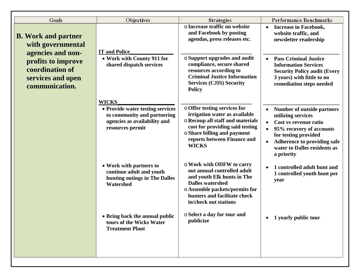| Goals                                                                                             | Objectives                                                                                                                          | <b>Strategies</b>                                                                                                                                                                                                  | <b>Performance Benchmarks</b>                                                                                                                                                                                            |
|---------------------------------------------------------------------------------------------------|-------------------------------------------------------------------------------------------------------------------------------------|--------------------------------------------------------------------------------------------------------------------------------------------------------------------------------------------------------------------|--------------------------------------------------------------------------------------------------------------------------------------------------------------------------------------------------------------------------|
| <b>B.</b> Work and partner<br>with governmental                                                   | <b>IT and Police</b>                                                                                                                | o Increase traffic on website<br>and Facebook by posting<br>agendas, press releases etc.                                                                                                                           | <b>Increase in Facebook,</b><br>website traffic, and<br>newsletter readership                                                                                                                                            |
| agencies and non-<br>profits to improve<br>coordination of<br>services and open<br>communication. | • Work with County 911 for<br>shared dispatch services                                                                              | ○ Support upgrades and audit<br>compliance, secure shared<br>resources according to<br><b>Criminal Justice Information</b><br><b>Services (CJIS) Security</b><br><b>Policy</b>                                     | <b>Pass Criminal Justice</b><br><b>Information Services</b><br><b>Security Policy audit (Every</b><br>3 years) with little to no<br>remediation steps needed                                                             |
|                                                                                                   | <b>WICKS</b><br>• Provide water testing services<br>to community and partnering<br>agencies as availability and<br>resources permit | o Offer testing services for<br>irrigation water as available<br>o Recoup all staff and materials<br>cost for providing said testing<br>○ Share billing and payment<br>reports between Finance and<br><b>WICKS</b> | <b>Number of outside partners</b><br>utilizing services<br>Cost vs revenue ratio<br>95% recovery of accounts<br>for testing provided<br><b>Adherence to providing safe</b><br>water to Dalles residents as<br>a priority |
|                                                                                                   | • Work with partners to<br>continue adult and youth<br>hunting outings in The Dalles<br>Watershed                                   | o Work with ODFW to carry<br>out annual controlled adult<br>and youth Elk hunts in The<br><b>Dalles watershed</b><br>o Assemble packets/permits for<br>hunters and facilitate check<br>in/check out stations       | 1 controlled adult hunt and<br>1 controlled youth hunt per<br>year                                                                                                                                                       |
|                                                                                                   | • Bring back the annual public<br>tours of the Wicks Water<br><b>Treatment Plant</b>                                                | ○ Select a day for tour and<br>publicize                                                                                                                                                                           | 1 yearly public tour<br>$\bullet$                                                                                                                                                                                        |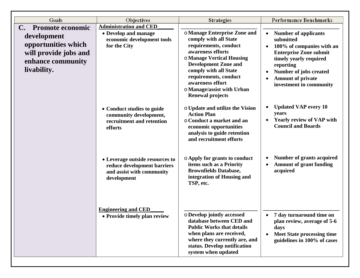| Goals                                                                                           | Objectives                                                                                                 | <b>Strategies</b>                                                                                                                                                                                                                                                                              | <b>Performance Benchmarks</b>                                                                                                                                                                                                                            |
|-------------------------------------------------------------------------------------------------|------------------------------------------------------------------------------------------------------------|------------------------------------------------------------------------------------------------------------------------------------------------------------------------------------------------------------------------------------------------------------------------------------------------|----------------------------------------------------------------------------------------------------------------------------------------------------------------------------------------------------------------------------------------------------------|
| <b>Promote economic</b><br>$\mathbf{C}$ .                                                       | <b>Administration and CED</b>                                                                              |                                                                                                                                                                                                                                                                                                |                                                                                                                                                                                                                                                          |
| development<br>opportunities which<br>will provide jobs and<br>enhance community<br>livability. | • Develop and manage<br>economic development tools<br>for the City                                         | o Manage Enterprise Zone and<br>comply with all State<br>requirements, conduct<br>awareness efforts<br>o Manage Vertical Housing<br><b>Development Zone and</b><br>comply with all State<br>requirements, conduct<br>awareness effort<br>o Manage/assist with Urban<br><b>Renewal projects</b> | <b>Number of applicants</b><br>$\bullet$<br>submitted<br>100% of companies with an<br>$\bullet$<br><b>Enterprise Zone submit</b><br>timely yearly required<br>reporting<br>Number of jobs created<br><b>Amount of private</b><br>investment in community |
|                                                                                                 | • Conduct studies to guide<br>community development,<br>recruitment and retention<br>efforts               | o Update and utilize the Vision<br><b>Action Plan</b><br>○ Conduct a market and an<br>economic opportunities<br>analysis to guide retention<br>and recruitment efforts                                                                                                                         | <b>Updated VAP every 10</b><br>years<br><b>Yearly review of VAP with</b><br><b>Council and Boards</b>                                                                                                                                                    |
|                                                                                                 | • Leverage outside resources to<br>reduce development barriers<br>and assist with community<br>development | ○ Apply for grants to conduct<br>items such as a Priority<br><b>Brownfields Database,</b><br>integration of Housing and<br>TSP, etc.                                                                                                                                                           | Number of grants acquired<br><b>Amount of grant funding</b><br>$\bullet$<br>acquired                                                                                                                                                                     |
|                                                                                                 | <b>Engineering and CED</b><br>• Provide timely plan review                                                 | o Develop jointly accessed<br>database between CED and<br><b>Public Works that details</b><br>when plans are received,<br>where they currently are, and<br>status. Develop notification<br>system when updated                                                                                 | 7 day turnaround time on<br>$\bullet$<br>plan review, average of 5-6<br>days<br><b>Meet State processing time</b><br>guidelines in 100% of cases                                                                                                         |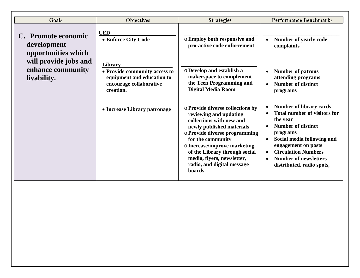| Goals                                                     | Objectives                                                                                                     | <b>Strategies</b>                                                                                                                                                                                                                                                                                                | <b>Performance Benchmarks</b>                                                                                                                                                                                                                                              |
|-----------------------------------------------------------|----------------------------------------------------------------------------------------------------------------|------------------------------------------------------------------------------------------------------------------------------------------------------------------------------------------------------------------------------------------------------------------------------------------------------------------|----------------------------------------------------------------------------------------------------------------------------------------------------------------------------------------------------------------------------------------------------------------------------|
| C. Promote economic<br>development<br>opportunities which | <b>CED</b><br>• Enforce City Code                                                                              | o Employ both responsive and<br>pro-active code enforcement                                                                                                                                                                                                                                                      | Number of yearly code<br>complaints                                                                                                                                                                                                                                        |
| will provide jobs and<br>enhance community<br>livability. | Library<br>• Provide community access to<br>equipment and education to<br>encourage collaborative<br>creation. | O Develop and establish a<br>makerspace to complement<br>the Teen Programming and<br><b>Digital Media Room</b>                                                                                                                                                                                                   | <b>Number of patrons</b><br>attending programs<br><b>Number of distinct</b><br>programs                                                                                                                                                                                    |
|                                                           | • Increase Library patronage                                                                                   | o Provide diverse collections by<br>reviewing and updating<br>collections with new and<br>newly published materials<br>o Provide diverse programming<br>for the community<br>o Increase/improve marketing<br>of the Library through social<br>media, flyers, newsletter,<br>radio, and digital message<br>boards | <b>Number of library cards</b><br><b>Total number of visitors for</b><br>the year<br><b>Number of distinct</b><br>programs<br>Social media following and<br>engagement on posts<br><b>Circulation Numbers</b><br><b>Number of newsletters</b><br>distributed, radio spots, |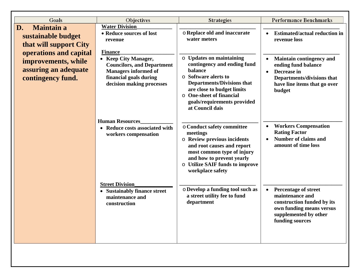| Goals                                                                  | Objectives                                                                                                                                      | <b>Strategies</b>                                                                                                                                                                                                                           | <b>Performance Benchmarks</b>                                                                                                                        |
|------------------------------------------------------------------------|-------------------------------------------------------------------------------------------------------------------------------------------------|---------------------------------------------------------------------------------------------------------------------------------------------------------------------------------------------------------------------------------------------|------------------------------------------------------------------------------------------------------------------------------------------------------|
| <b>Maintain a</b><br>D.                                                | <b>Water Division</b>                                                                                                                           |                                                                                                                                                                                                                                             |                                                                                                                                                      |
| sustainable budget<br>that will support City<br>operations and capital | • Reduce sources of lost<br>revenue<br><b>Finance</b>                                                                                           | o Replace old and inaccurate<br>water meters                                                                                                                                                                                                | <b>Estimated/actual reduction in</b><br>$\bullet$<br>revenue loss                                                                                    |
| improvements, while<br>assuring an adequate<br>contingency fund.       | • Keep City Manager,<br><b>Councilors, and Department</b><br><b>Managers informed of</b><br>financial goals during<br>decision making processes | o Updates on maintaining<br>contingency and ending fund<br>balance<br>○ Software alerts to<br><b>Departments/Divisions that</b><br>are close to budget limits<br>O One-sheet of financial<br>goals/requirements provided<br>at Council dais | <b>Maintain contingency and</b><br>ending fund balance<br>Decrease in<br><b>Departments/divisions that</b><br>have line items that go over<br>budget |
|                                                                        | <b>Human Resources</b><br>• Reduce costs associated with<br>workers compensation                                                                | o Conduct safety committee<br>meetings<br><b>O</b> Review previous incidents<br>and root causes and report<br>most common type of injury<br>and how to prevent yearly<br><b>O</b> Utilize SAIF funds to improve<br>workplace safety         | <b>Workers Compensation</b><br>$\bullet$<br><b>Rating Factor</b><br><b>Number of claims and</b><br>amount of time loss                               |
|                                                                        | <b>Street Division</b><br>• Sustainably finance street<br>maintenance and<br>construction                                                       | o Develop a funding tool such as<br>a street utility fee to fund<br>department                                                                                                                                                              | <b>Percentage of street</b><br>maintenance and<br>construction funded by its<br>own funding means versus<br>supplemented by other<br>funding sources |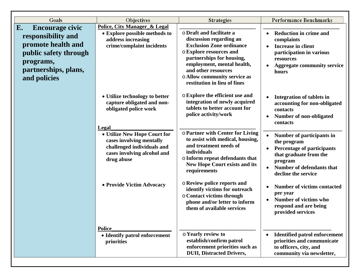| Goals                                                                                                                                                  | Objectives                                                                                                                                   | <b>Strategies</b>                                                                                                                                                                                                                                                   | <b>Performance Benchmarks</b>                                                                                                                                                       |
|--------------------------------------------------------------------------------------------------------------------------------------------------------|----------------------------------------------------------------------------------------------------------------------------------------------|---------------------------------------------------------------------------------------------------------------------------------------------------------------------------------------------------------------------------------------------------------------------|-------------------------------------------------------------------------------------------------------------------------------------------------------------------------------------|
| E.<br><b>Encourage civic</b><br>responsibility and<br>promote health and<br>public safety through<br>programs,<br>partnerships, plans,<br>and policies | <b>Police, City Manager_&amp; Legal</b><br>• Explore possible methods to<br>address increasing<br>crime/complaint incidents                  | o Draft and facilitate a<br>discussion regarding an<br><b>Exclusion Zone ordinance</b><br>o Explore resources and<br>partnerships for housing,<br>employment, mental health,<br>and other resources<br>o Allow community service as<br>restitution in lieu of fines | <b>Reduction in crime and</b><br>$\bullet$<br>complaints<br><b>Increase in client</b><br>participation in various<br>resources<br><b>Aggregate community service</b><br>hours       |
|                                                                                                                                                        | • Utilize technology to better<br>capture obligated and non-<br>obligated police work                                                        | o Explore the efficient use and<br>integration of newly acquired<br>tablets to better account for<br>police activity/work                                                                                                                                           | <b>Integration of tablets in</b><br>accounting for non-obligated<br>contacts<br>Number of non-obligated<br>contacts                                                                 |
|                                                                                                                                                        | Legal<br>• Utilize New Hope Court for<br>cases involving mentally<br>challenged individuals and<br>cases involving alcohol and<br>drug abuse | o Partner with Center for Living<br>to assist with medical, housing,<br>and treatment needs of<br>individuals<br>$\circ$ Inform repeat defendants that<br><b>New Hope Court exists and its</b><br>requirements                                                      | Number of participants in<br>the program<br><b>Percentage of participants</b><br>$\bullet$<br>that graduate from the<br>program<br>Number of defendants that<br>decline the service |
|                                                                                                                                                        | • Provide Victim Advocacy                                                                                                                    | ○ Review police reports and<br>identify victims for outreach<br>o Contact victims through<br>phone and/or letter to inform<br>them of available services                                                                                                            | <b>Number of victims contacted</b><br>per year<br><b>Number of victims who</b><br>respond and are being<br>provided services                                                        |
|                                                                                                                                                        | <b>Police</b><br>• Identify patrol enforcement<br>priorities                                                                                 | o Yearly review to<br>establish/confirm patrol<br>enforcement priorities such as<br><b>DUII</b> , Distracted Drivers,                                                                                                                                               | <b>Identified patrol enforcement</b><br>priorities and communicate<br>to officers, city, and<br>community via newsletter,                                                           |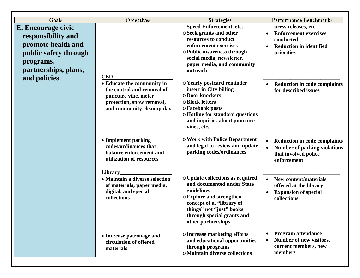| Goals                                                                                                                        | Objectives                                                                                                                                 | <b>Strategies</b>                                                                                                                                                                                                     | <b>Performance Benchmarks</b>                                                                                                  |
|------------------------------------------------------------------------------------------------------------------------------|--------------------------------------------------------------------------------------------------------------------------------------------|-----------------------------------------------------------------------------------------------------------------------------------------------------------------------------------------------------------------------|--------------------------------------------------------------------------------------------------------------------------------|
| E. Encourage civic<br>responsibility and<br>promote health and<br>public safety through<br>programs,<br>partnerships, plans, | <b>CED</b>                                                                                                                                 | Speed Enforcement, etc.<br>o Seek grants and other<br>resources to conduct<br>enforcement exercises<br>o Public awareness through<br>social media, newsletter,<br>paper media, and community<br>outreach              | press releases, etc.<br><b>Enforcement exercises</b><br>$\bullet$<br>conducted<br><b>Reduction in identified</b><br>priorities |
| and policies                                                                                                                 | • Educate the community in<br>the control and removal of<br>puncture vine, meter<br>protection, snow removal,<br>and community cleanup day | o Yearly postcard reminder<br>insert in City billing<br>o Door knockers<br>o Block letters<br>o Facebook posts<br>o Hotline for standard questions<br>and inquiries about puncture<br>vines, etc.                     | <b>Reduction in code complaints</b><br>for described issues                                                                    |
|                                                                                                                              | • Implement parking<br>codes/ordinances that<br>balance enforcement and<br>utilization of resources                                        | <b>O Work with Police Department</b><br>and legal to review and update<br>parking codes/ordinances                                                                                                                    | <b>Reduction in code complaints</b><br><b>Number of parking violations</b><br>that involved police<br>enforcement              |
|                                                                                                                              | Library<br>• Maintain a diverse selection<br>of materials; paper media,<br>digital, and special<br>collections                             | o Update collections as required<br>and documented under State<br>guidelines<br>o Explore and strengthen<br>concept of a, "library of<br>things" not "just" books<br>through special grants and<br>other partnerships | <b>New content/materials</b><br>offered at the library<br><b>Expansion of special</b><br>collections                           |
|                                                                                                                              | • Increase patronage and<br>circulation of offered<br>materials                                                                            | o Increase marketing efforts<br>and educational opportunities<br>through programs<br>o Maintain diverse collections                                                                                                   | <b>Program attendance</b><br>$\bullet$<br>Number of new visitors,<br>$\bullet$<br>current members, new<br>members              |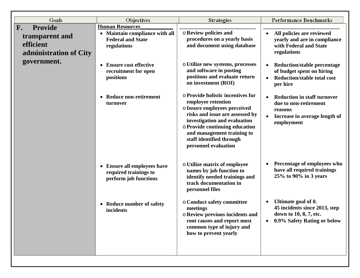| Goals                                                  | Objectives                                                                    | <b>Strategies</b>                                                                                                                                                                                                                                                              | <b>Performance Benchmarks</b>                                                                                              |
|--------------------------------------------------------|-------------------------------------------------------------------------------|--------------------------------------------------------------------------------------------------------------------------------------------------------------------------------------------------------------------------------------------------------------------------------|----------------------------------------------------------------------------------------------------------------------------|
| <b>Provide</b><br>$\mathbf{F}$ .                       | <b>Human Resources</b>                                                        |                                                                                                                                                                                                                                                                                |                                                                                                                            |
| transparent and<br>efficient<br>administration of City | • Maintain compliance with all<br><b>Federal and State</b><br>regulations     | o Review policies and<br>procedures on a yearly basis<br>and document using database                                                                                                                                                                                           | All policies are reviewed<br>yearly and are in compliance<br>with Federal and State<br>regulations                         |
| government.                                            | <b>Ensure cost effective</b><br>recruitment for open<br>positions             | o Utilize new systems, processes<br>and software in posting<br>positions and evaluate return<br>on investment (ROI)                                                                                                                                                            | <b>Reduction/stable percentage</b><br>of budget spent on hiring<br><b>Reduction/stable total cost</b><br>per hire          |
|                                                        | <b>Reduce non-retirement</b><br>turnover                                      | ○ Provide holistic incentives for<br>employee retention<br>o Insure employees perceived<br>risks and issue are assessed by<br>investigation and evaluation<br>o Provide continuing education<br>and management training to<br>staff identified through<br>personnel evaluation | <b>Reduction in staff turnover</b><br>due to non-retirement<br>reasons<br>Increase in average length of<br>employment      |
|                                                        | • Ensure all employees have<br>required trainings to<br>perform job functions | <b>o Utilize matrix of employee</b><br>names by job function to<br>identify needed trainings and<br>track documentation in<br>personnel files                                                                                                                                  | Percentage of employees who<br>have all required trainings<br>25% to 90% in 3 years                                        |
|                                                        | • Reduce number of safety<br>incidents                                        | o Conduct safety committee<br>meetings<br>$\circ$ Review previous incidents and<br>root causes and report most<br>common type of injury and<br>how to prevent yearly                                                                                                           | Ultimate goal of 0.<br>45 incidents since 2013, step<br>down to 10, 8, 7, etc.<br>0.9% Safety Rating or below<br>$\bullet$ |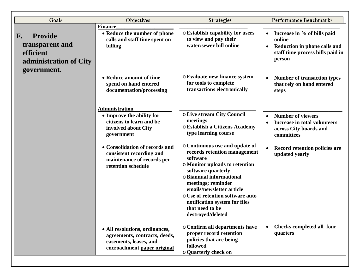| Goals                                                                          | Objectives                                                                                                               | <b>Strategies</b>                                                                                                                                                                                                                                                                                                              | <b>Performance Benchmarks</b>                                                                                                    |
|--------------------------------------------------------------------------------|--------------------------------------------------------------------------------------------------------------------------|--------------------------------------------------------------------------------------------------------------------------------------------------------------------------------------------------------------------------------------------------------------------------------------------------------------------------------|----------------------------------------------------------------------------------------------------------------------------------|
|                                                                                | <b>Finance</b>                                                                                                           |                                                                                                                                                                                                                                                                                                                                |                                                                                                                                  |
| <b>Provide</b><br>F.<br>transparent and<br>efficient<br>administration of City | • Reduce the number of phone<br>calls and staff time spent on<br>billing                                                 | o Establish capability for users<br>to view and pay their<br>water/sewer bill online                                                                                                                                                                                                                                           | Increase in % of bills paid<br>online<br>Reduction in phone calls and<br>$\bullet$<br>staff time process bills paid in<br>person |
| government.                                                                    | • Reduce amount of time<br>spend on hand entered<br>documentation/processing                                             | o Evaluate new finance system<br>for tools to complete<br>transactions electronically                                                                                                                                                                                                                                          | <b>Number of transaction types</b><br>that rely on hand entered<br>steps                                                         |
|                                                                                | <b>Administration</b><br>• Improve the ability for<br>citizens to learn and be<br>involved about City<br>government      | o Live stream City Council<br>meetings<br>o Establish a Citizens Academy<br>type learning course                                                                                                                                                                                                                               | <b>Number of viewers</b><br><b>Increase in total volunteers</b><br>across City boards and<br>committees                          |
|                                                                                | • Consolidation of records and<br>consistent recording and<br>maintenance of records per<br>retention schedule           | ○ Continuous use and update of<br>records retention management<br>software<br>o Monitor uploads to retention<br>software quarterly<br>o Biannual informational<br>meetings; reminder<br>emails/newsletter article<br>o Use of retention software auto<br>notification system for files<br>that need to be<br>destroyed/deleted | <b>Record retention policies are</b><br>updated yearly                                                                           |
|                                                                                | • All resolutions, ordinances,<br>agreements, contracts, deeds,<br>easements, leases, and<br>encroachment paper original | o Confirm all departments have<br>proper record retention<br>policies that are being<br>followed<br>o Quarterly check on                                                                                                                                                                                                       | Checks completed all four<br>quarters                                                                                            |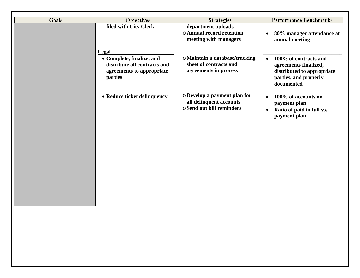| filed with City Clerk<br>department uploads<br><b>o Annual record retention</b><br>80% manager attendance at<br>$\bullet$<br>meeting with managers<br>annual meeting<br><b>Legal</b><br>o Maintain a database/tracking<br>• Complete, finalize, and<br>100% of contracts and<br>$\bullet$<br>sheet of contracts and<br>distribute all contracts and<br>agreements finalized,<br>agreements in process<br>agreements to appropriate<br>distributed to appropriate<br>parties<br>parties, and properly<br>documented<br>o Develop a payment plan for<br>• Reduce ticket delinquency<br>100% of accounts on<br>all delinquent accounts<br>payment plan<br>o Send out bill reminders<br>Ratio of paid in full vs.<br>$\bullet$<br>payment plan | Goals | Objectives | <b>Strategies</b> | <b>Performance Benchmarks</b> |
|--------------------------------------------------------------------------------------------------------------------------------------------------------------------------------------------------------------------------------------------------------------------------------------------------------------------------------------------------------------------------------------------------------------------------------------------------------------------------------------------------------------------------------------------------------------------------------------------------------------------------------------------------------------------------------------------------------------------------------------------|-------|------------|-------------------|-------------------------------|
|                                                                                                                                                                                                                                                                                                                                                                                                                                                                                                                                                                                                                                                                                                                                            |       |            |                   |                               |
|                                                                                                                                                                                                                                                                                                                                                                                                                                                                                                                                                                                                                                                                                                                                            |       |            |                   |                               |
|                                                                                                                                                                                                                                                                                                                                                                                                                                                                                                                                                                                                                                                                                                                                            |       |            |                   |                               |
|                                                                                                                                                                                                                                                                                                                                                                                                                                                                                                                                                                                                                                                                                                                                            |       |            |                   |                               |
|                                                                                                                                                                                                                                                                                                                                                                                                                                                                                                                                                                                                                                                                                                                                            |       |            |                   |                               |
|                                                                                                                                                                                                                                                                                                                                                                                                                                                                                                                                                                                                                                                                                                                                            |       |            |                   |                               |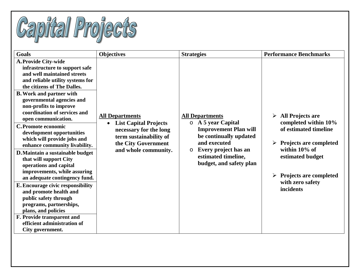